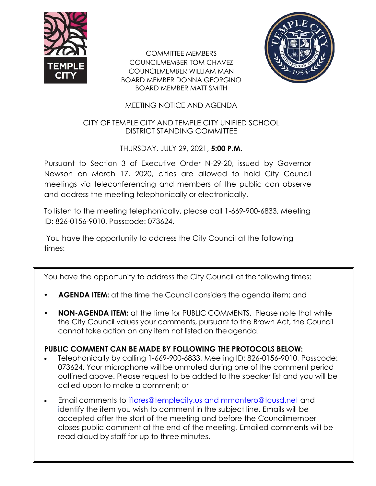

COMMITTEE MEMBERS COUNCILMEMBER TOM CHAVEZ COUNCILMEMBER WILLIAM MAN BOARD MEMBER DONNA GEORGINO BOARD MEMBER MATT SMITH



# MEETING NOTICE AND AGENDA

### CITY OF TEMPLE CITY AND TEMPLE CITY UNIFIED SCHOOL DISTRICT STANDING COMMITTEE

## THURSDAY, JULY 29, 2021, **5:00 P.M.**

Pursuant to Section 3 of Executive Order N-29-20, issued by Governor Newson on March 17, 2020, cities are allowed to hold City Council meetings via teleconferencing and members of the public can observe and address the meeting telephonically or electronically.

To listen to the meeting telephonically, please call 1-669-900-6833, Meeting ID: 826-0156-9010, Passcode: 073624.

You have the opportunity to address the City Council at the following times:

You have the opportunity to address the City Council at the following times:

- **AGENDA ITEM:** at the time the Council considers the agenda item; and
- **NON-AGENDA ITEM:** at the time for PUBLIC COMMENTS. Please note that while the City Council values your comments, pursuant to the Brown Act, the Council cannot take action on any item not listed on the agenda.

# **PUBLIC COMMENT CAN BE MADE BY FOLLOWING THE PROTOCOLS BELOW:**

- Telephonically by calling 1-669-900-6833, Meeting ID: 826-0156-9010, Passcode: 073624. Your microphone will be unmuted during one of the comment period outlined above. Please request to be added to the speaker list and you will be called upon to make a comment; or
- Email comments to [iflores@templecity.us](mailto:iflores@templecity.us) and [mmontero@tcusd.net](mailto:mmontero@tcusd.net) and identify the item you wish to comment in the subject line. Emails will be accepted after the start of the meeting and before the Councilmember closes public comment at the end of the meeting. Emailed comments will be read aloud by staff for up to three minutes.